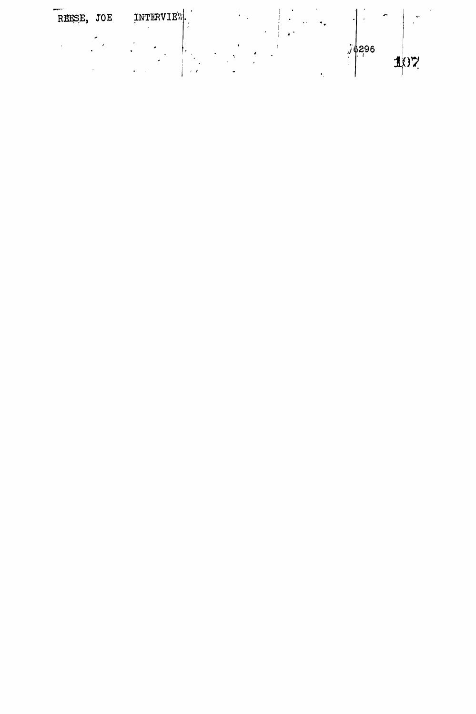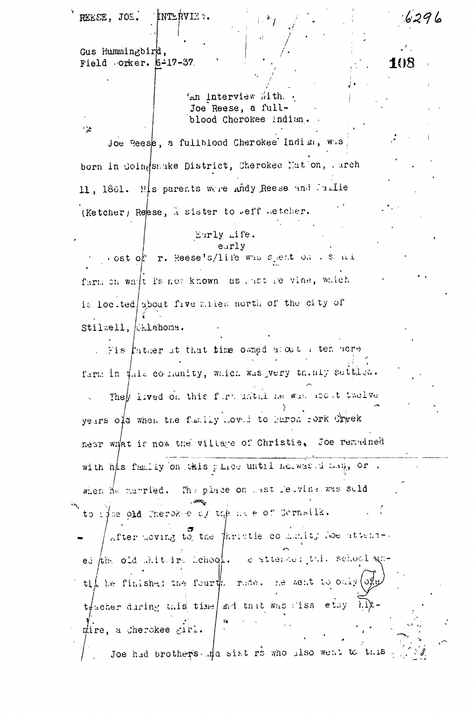REEEE, JOI. KNTERVIE 7.

Gus Hummingbird, Field orker. 6-17-37.

 $\mathcal{L}$ 

'An Interview With. Joe Reese, a fullblood Cherokee indian.  $6296$ 

108

Joe Reese, a fullblood Cherokee Indim, was born in Goingsmake District, Cherokee Mation, . arch 11, 1861. His parents were andy Reese and Jaille (Ketcher) Reese, a sister to weff wetcher.

## Eurly Life. eurly

ost of r. Reese's/life was speat on a sample farm on whit is not known as last re vine, which is located about five males north of the city of Stilwell, Chlahoma.

Fis father at that time owned about I ten hore farm in this collumity, which was very thinly settles. They lived on this furtuathline was not twelve years old when the family moved to haron rork Creek near wrat is now the village of Christie, Joe remadned with his family on this place until herwas d hall, or, The place on hast feivine was suld when He manried. to sphe old Cherokee by the hale of Cornsila. after moving to the faristie community doe attended the old shit in Lehool. e attended this school gatif he finished the fourth rude. He sent to only (of  $t\neq$  acher during this time and that was liss etsy  $\overrightarrow{h}$ . gire, a Cherokee girl. Joe had brothers. That sist rs who also went to this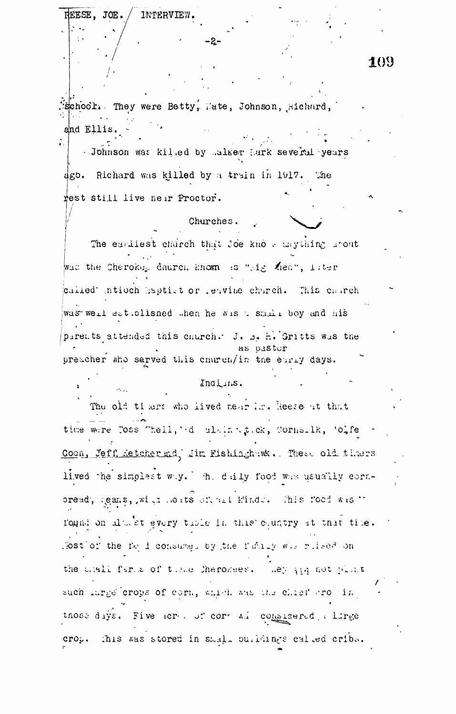**INTERVIEW.** REESE. JOE. -2-109 School. They were Betty, Mate, Johnson, Richard, and Ellis. - Johnson was killed by Laker Lark several years dgo. Richard was killed by a train in 1917. The rest still live near Proctor. Churches. The earliest charch that Joe know anything grout was the Cheroke, daurch known as "sig Kea", later called intioch saptist or resvine charch. This charch was well estudished when he wish shall boy and his pirents attended this church. J. 5. h. Gritts was the paster preacher who sarved this church/in the early days. Indians. The old timers who lived near im. Reese at that time were Toss Thell, 'd alain tt.ck, Cornsilk, 'olfe Coon, Jeff Ketcher md. Jim Fishinghawk. These old thers lived the simplest way. The daily food was usually cornpread, teans, with heats of all kinds. This food wish found on alwer every time in this country at that time. fost of the fold consumel by the fundiv will rised on the shall farms of three Cherokees. Ley and not plant such large crops of corn, which was the chief arough. those days. Five acree of correlate completered a lirge crop. This was stored in small ourldings called cribs.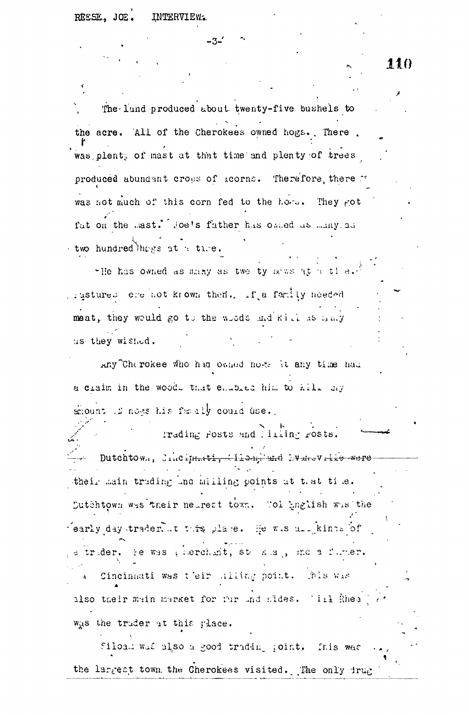## REESE. JOE. INTERVIEW.

The lund produced about twenty-five bushels to the acre. All of the Cherokees owned hogs. There was plent, of mast at that time and plenty of trees produced abundant crops of acorns. Therefore there " was not much of this corn fed to the hors. They got fut on the mast. Joe's father has omed as many as two hundred thogs at a time.

-3.

"He has owned as many as twe ty sews at a tle. rigstures ere not krown then. If a family needed meat, they would go to the woods and kill as sany us they wished.

Any the rokee who had owned hose it any time had a craim in the wood. that enabled him to kill my mount if note his family could use.

Trading Posts and liming rosts. - Dutchtown, Jincinnati, tiloag'end hvansville were their main truding ind milling points ut that time. Dutchtown was their neurest town. Tol anglish was the fearly day trader, it this place. He wis all kinss of a trider. He was plierchimt, state and , ind a furter. Cincinnati was t'eir hilithg point. This was also their main market for tur and fides. Till shea was the truder at this place.

Siloam was also a good trading point. This was the largest town the Cherokees visited. The only irug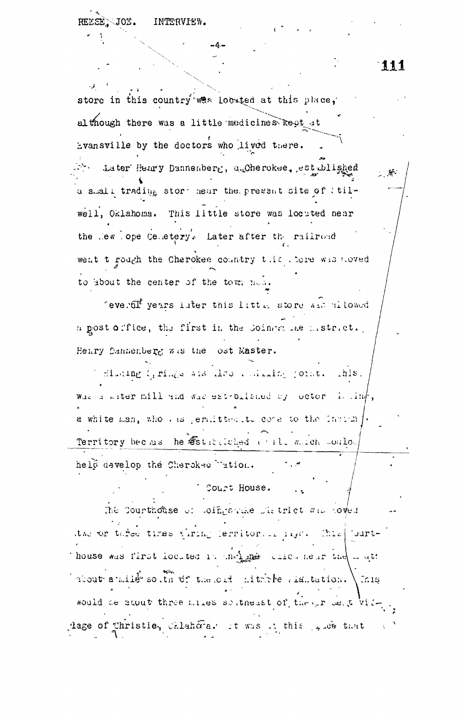111

 $\mathcal{M}$  .

store in this country was located at this place, although there was a little medicines kept at Evansville by the doctors who lived there. A. Later Henry Dannenberg, auCherokee, est ablished a shall trading stort hear the present site of tilwell, Oklahoma. This little store was located near the lew lope Celletery. Later after the railroad went t rough the Cherokee country this tore wishoved to about the center of the town now.

feveral years later this little store was allowed a gost office, the first in the Coincente memotract. Henry Dannenberg was the ost Master.

I fluting Cyrings and also a magnitude (orneas ahis. Was a witer mill and was est-brished by octor is linf, a white man, who was permitted to come to the Indian j. Territory becaus he statuted will mich soulo-

help develop the Cherokee Tation.

The Courthouse of Loingstake District was coved the or tares times viring lermitorial lays. This [ 'burt-Thouse was first located in the land allow near the an att (about a mille south of the old ditrible significant ) Inig. would be agout three miles soltnesst of the our seat viddage of Thristie, Chlahora. It was it this give that

Court House.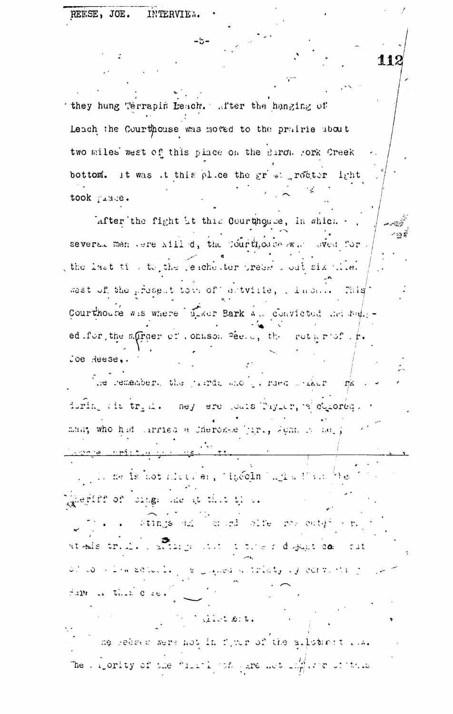they hung Terrapin Leach. After the hanging of Leach the Courthouse was moved to the prairie about two miles west of this place on the Baron fork Creek bottom. It was it this plice the gr'st rector irht took prace.

lafter the fight it this Courthouse, in which several men vere kill d, the Courthouse was sved for the last time to the reachester preder wout six plies west of the present town of actuille, . Inches This Courthouse wis where there Bark was convicted and halfed. for the affraer of , onkson pee. o, the rothrof. f.  $\log$  Reese.

The remembers the justice and in raed waker.  $\Gamma\propto$ during the trial. ney ere cans Taylor, a concept man; who had arried a Cherokse Jiri, Sonn is ne.

<u>aconse comiche discussion tie</u> . The mediate of strategies of speed  $\mathbf{n}$  and  $\mathbf{u}$  and  $\mathbf{v}$  are  $\mathbf{v}$ geriff of sings are at that the a . Stings and an education for early of r. at fais tried in this control of the following com- $\sim$  1t of complete schools. So grands a tricty of correcting Fall is that C se.

W. Malet Sit. ne redeen were not in fiver of the allothert ris. The lighty of the "like" of yare not light of this

-5